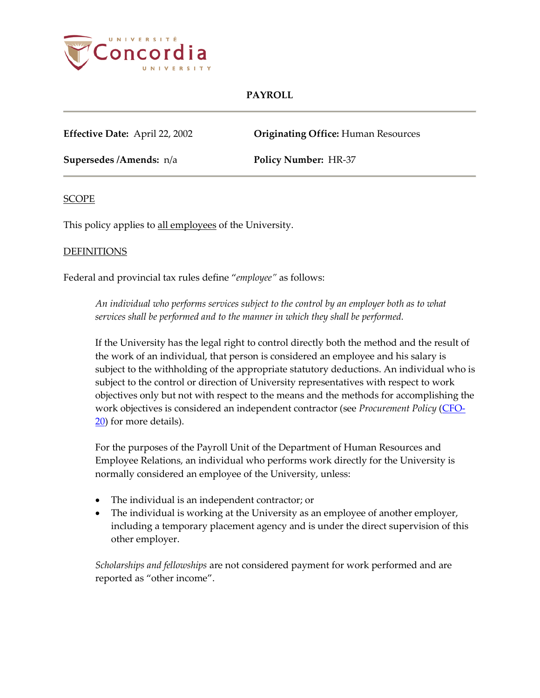

**Effective Date:** April 22, 2002 **Originating Office:** Human Resources

**Supersedes /Amends:** n/a **Policy Number:** HR-37

### **SCOPE**

This policy applies to all employees of the University.

#### **DEFINITIONS**

Federal and provincial tax rules define "*employee"* as follows:

*An individual who performs services subject to the control by an employer both as to what services shall be performed and to the manner in which they shall be performed.*

If the University has the legal right to control directly both the method and the result of the work of an individual, that person is considered an employee and his salary is subject to the withholding of the appropriate statutory deductions. An individual who is subject to the control or direction of University representatives with respect to work objectives only but not with respect to the means and the methods for accomplishing the work objectives is considered an independent contractor (see *Procurement Policy* [\(CFO-](http://www.concordia.ca/vpirsg/documents/policies/CFO-20.pdf)[20\)](http://www.concordia.ca/vpirsg/documents/policies/CFO-20.pdf) for more details).

For the purposes of the Payroll Unit of the Department of Human Resources and Employee Relations, an individual who performs work directly for the University is normally considered an employee of the University, unless:

- The individual is an independent contractor; or
- The individual is working at the University as an employee of another employer, including a temporary placement agency and is under the direct supervision of this other employer.

*Scholarships and fellowships* are not considered payment for work performed and are reported as "other income".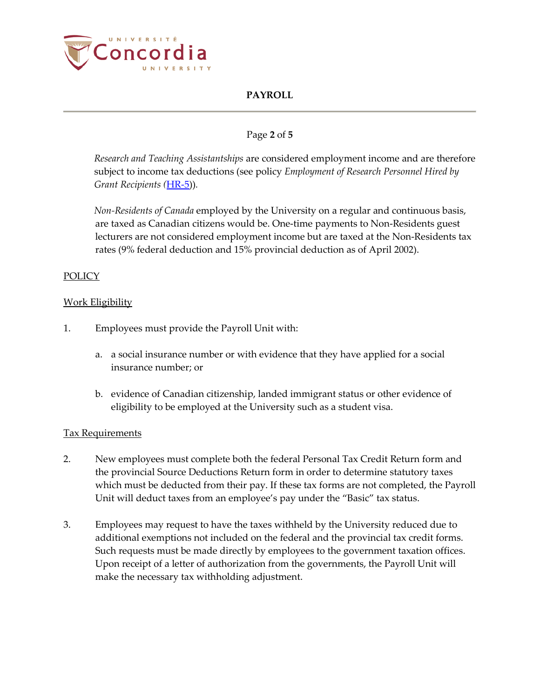

## Page **2** of **5**

*Research and Teaching Assistantships* are considered employment income and are therefore subject to income tax deductions (see policy *Employment of Research Personnel Hired by Grant Recipients (*[HR-5\)](http://www.concordia.ca/vpirsg/documents/policies/HR-5.pdf))*.*

*Non-Residents of Canada* employed by the University on a regular and continuous basis, are taxed as Canadian citizens would be. One-time payments to Non-Residents guest lecturers are not considered employment income but are taxed at the Non-Residents tax rates (9% federal deduction and 15% provincial deduction as of April 2002).

## POLICY

### Work Eligibility

- 1. Employees must provide the Payroll Unit with:
	- a. a social insurance number or with evidence that they have applied for a social insurance number; or
	- b. evidence of Canadian citizenship, landed immigrant status or other evidence of eligibility to be employed at the University such as a student visa.

### Tax Requirements

- 2. New employees must complete both the federal Personal Tax Credit Return form and the provincial Source Deductions Return form in order to determine statutory taxes which must be deducted from their pay. If these tax forms are not completed, the Payroll Unit will deduct taxes from an employee's pay under the "Basic" tax status.
- 3. Employees may request to have the taxes withheld by the University reduced due to additional exemptions not included on the federal and the provincial tax credit forms. Such requests must be made directly by employees to the government taxation offices. Upon receipt of a letter of authorization from the governments, the Payroll Unit will make the necessary tax withholding adjustment.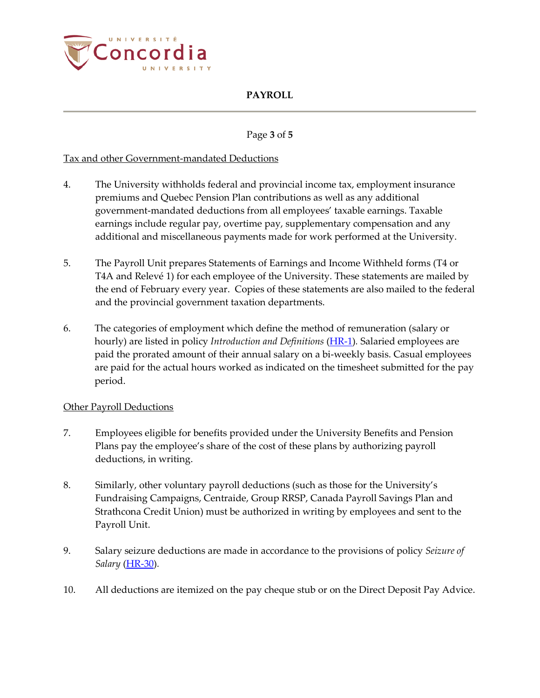

## Page **3** of **5**

### Tax and other Government-mandated Deductions

- 4. The University withholds federal and provincial income tax, employment insurance premiums and Quebec Pension Plan contributions as well as any additional government-mandated deductions from all employees' taxable earnings. Taxable earnings include regular pay, overtime pay, supplementary compensation and any additional and miscellaneous payments made for work performed at the University.
- 5. The Payroll Unit prepares Statements of Earnings and Income Withheld forms (T4 or T4A and Relevé 1) for each employee of the University. These statements are mailed by the end of February every year. Copies of these statements are also mailed to the federal and the provincial government taxation departments.
- 6. The categories of employment which define the method of remuneration (salary or hourly) are listed in policy *Introduction and Definitions* [\(HR-1\)](http://www.concordia.ca/vpirsg/documents/policies/HR-1.pdf)*.* Salaried employees are paid the prorated amount of their annual salary on a bi-weekly basis. Casual employees are paid for the actual hours worked as indicated on the timesheet submitted for the pay period.

### Other Payroll Deductions

- 7. Employees eligible for benefits provided under the University Benefits and Pension Plans pay the employee's share of the cost of these plans by authorizing payroll deductions, in writing.
- 8. Similarly, other voluntary payroll deductions (such as those for the University's Fundraising Campaigns, Centraide, Group RRSP, Canada Payroll Savings Plan and Strathcona Credit Union) must be authorized in writing by employees and sent to the Payroll Unit.
- 9. Salary seizure deductions are made in accordance to the provisions of policy *Seizure of Salary* [\(HR-30\)](http://www.concordia.ca/vpirsg/documents/policies/HR-30.pdf)*.*
- 10. All deductions are itemized on the pay cheque stub or on the Direct Deposit Pay Advice.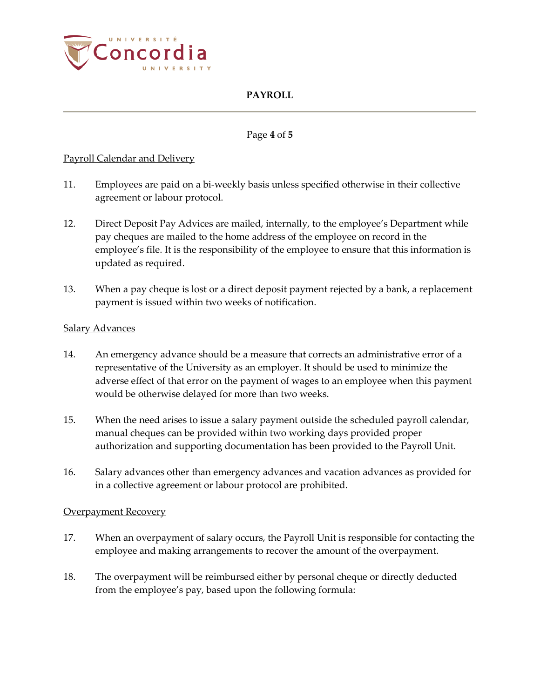

## Page **4** of **5**

## Payroll Calendar and Delivery

- 11. Employees are paid on a bi-weekly basis unless specified otherwise in their collective agreement or labour protocol.
- 12. Direct Deposit Pay Advices are mailed, internally, to the employee's Department while pay cheques are mailed to the home address of the employee on record in the employee's file. It is the responsibility of the employee to ensure that this information is updated as required.
- 13. When a pay cheque is lost or a direct deposit payment rejected by a bank, a replacement payment is issued within two weeks of notification.

### Salary Advances

- 14. An emergency advance should be a measure that corrects an administrative error of a representative of the University as an employer. It should be used to minimize the adverse effect of that error on the payment of wages to an employee when this payment would be otherwise delayed for more than two weeks.
- 15. When the need arises to issue a salary payment outside the scheduled payroll calendar, manual cheques can be provided within two working days provided proper authorization and supporting documentation has been provided to the Payroll Unit.
- 16. Salary advances other than emergency advances and vacation advances as provided for in a collective agreement or labour protocol are prohibited.

### **Overpayment Recovery**

- 17. When an overpayment of salary occurs, the Payroll Unit is responsible for contacting the employee and making arrangements to recover the amount of the overpayment.
- 18. The overpayment will be reimbursed either by personal cheque or directly deducted from the employee's pay, based upon the following formula: